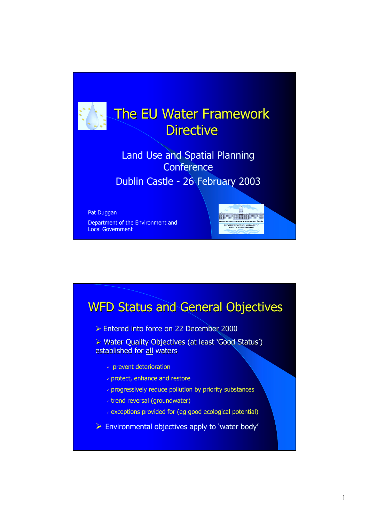

## WFD Status and General Objectives

- **Entered into force on 22 December 2000**
- > Water Quality Objectives (at least 'Good Status') established for all waters
	- $\checkmark$  prevent deterioration
	- protect, enhance and restore
	- progressively reduce pollution by priority substances
	- trend reversal (groundwater)
	- exceptions provided for (eg good ecological potential)
- $\triangleright$  Environmental objectives apply to 'water body'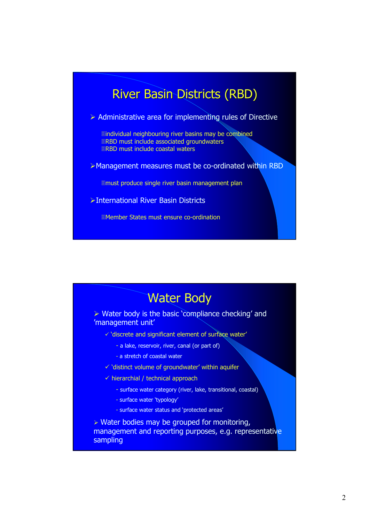### River Basin Districts (RBD)

 $\triangleright$  Administrative area for implementing rules of Directive

**Eindividual neighbouring river basins may be combined ERBD must include associated groundwaters ERBD must include coastal waters** 

Management measures must be co-ordinated within RBD

must produce single river basin management plan

International River Basin Districts

Member States must ensure co-ordination

### Water Body ▶ Water body is the basic 'compliance checking' and 'management unit'

- 'discrete and significant element of surface water'
	- a lake, reservoir, river, canal (or part of)
	- a stretch of coastal water
- 'distinct volume of groundwater' within aquifer
- hierarchial / technical approach
	- surface water category (river, lake, transitional, coastal)
	- surface water 'typology'
	- surface water status and 'protected areas'

 $\triangleright$  Water bodies may be grouped for monitoring, management and reporting purposes, e.g. representative sampling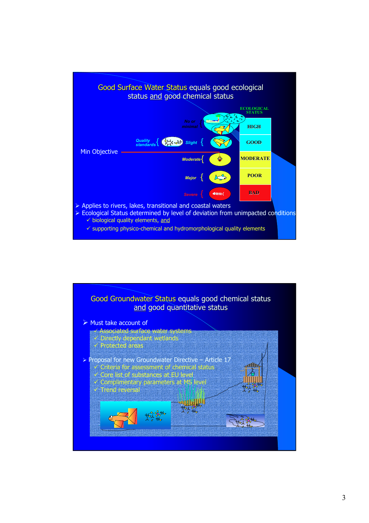

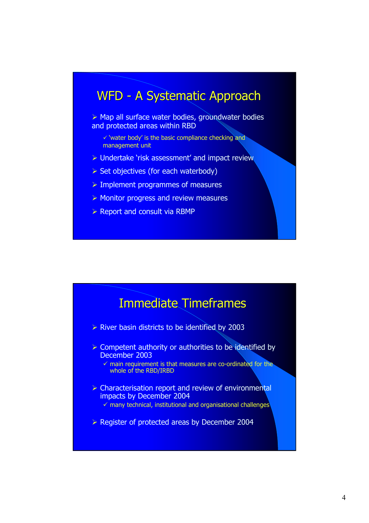#### WFD - A Systematic Approach

 $\triangleright$  Map all surface water bodies, groundwater bodies and protected areas within RBD

 $\checkmark$  'water body' is the basic compliance checking and management unit

- ▶ Undertake 'risk assessment' and impact review
- $\triangleright$  Set objectives (for each waterbody)
- $\triangleright$  Implement programmes of measures
- $\triangleright$  Monitor progress and review measures
- $\triangleright$  Report and consult via RBMP

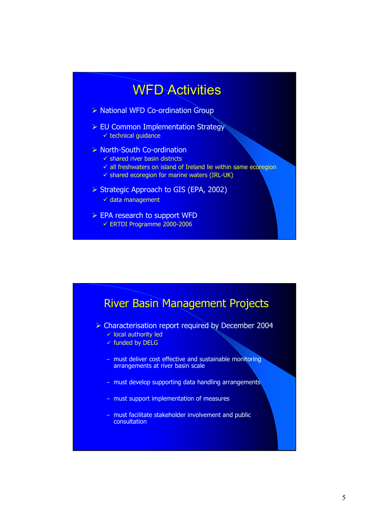# WFD Activities

- ▶ National WFD Co-ordination Group
- **EU Common Implementation Strategy** - technical guidance
- ▶ North-South Co-ordination
	- $\checkmark$  shared river basin districts
	- $\checkmark$  all freshwaters on island of Ireland lie within same ecoregion
	- shared ecoregion for marine waters (IRL-UK)
- Strategic Approach to GIS (EPA, 2002)
	- data management
- **EPA research to support WFD** - ERTDI Programme 2000-2006

River Basin Management Projects **Example 2004** Characterisation report required by December 2004 - local authority led  $\checkmark$  funded by DELG – must deliver cost effective and sustainable monitoring arrangements at river basin scale – must develop supporting data handling arrangements – must support implementation of measures – must facilitate stakeholder involvement and public consultation